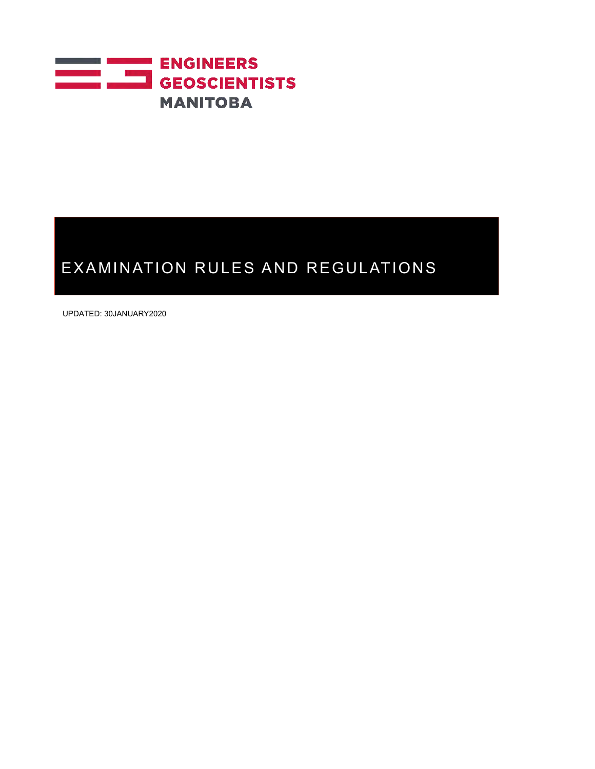

UPDATED: 30JANUARY2020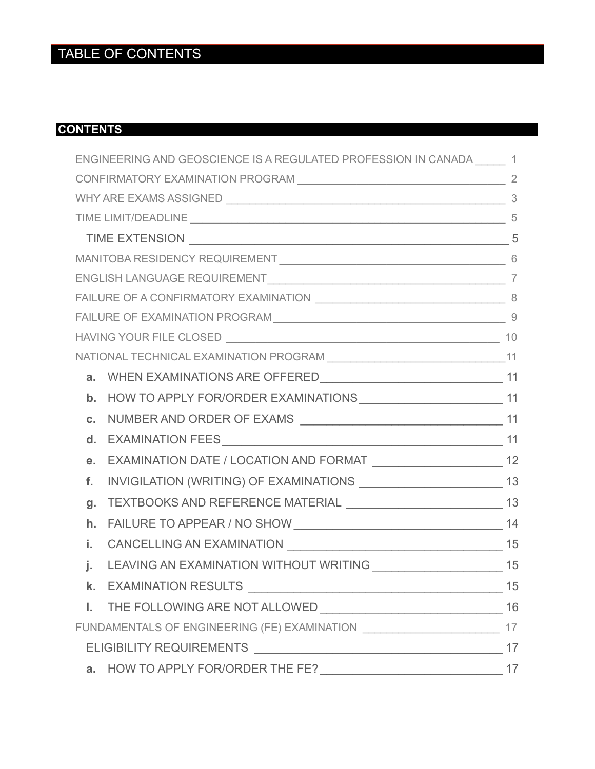# TABLE OF CONTENTS

## **CONTENTS**

|               | ENGINEERING AND GEOSCIENCE IS A REGULATED PROFESSION IN CANADA 1                    |    |  |
|---------------|-------------------------------------------------------------------------------------|----|--|
|               |                                                                                     |    |  |
|               |                                                                                     |    |  |
|               |                                                                                     |    |  |
|               |                                                                                     |    |  |
|               |                                                                                     |    |  |
|               |                                                                                     |    |  |
|               |                                                                                     |    |  |
|               | FAILURE OF EXAMINATION PROGRAM   9                                                  |    |  |
|               |                                                                                     |    |  |
|               |                                                                                     |    |  |
| a.            |                                                                                     |    |  |
| $\mathbf b$ . |                                                                                     |    |  |
| C.            |                                                                                     |    |  |
| d.            |                                                                                     |    |  |
| е.            | EXAMINATION DATE / LOCATION AND FORMAT ___________________________ 12               |    |  |
| f.            |                                                                                     |    |  |
| g.            |                                                                                     |    |  |
| h.            |                                                                                     |    |  |
| i.            |                                                                                     |    |  |
| j.            |                                                                                     |    |  |
|               | K. EXAMINATION RESULTS                                                              | 15 |  |
|               |                                                                                     | 16 |  |
|               | FUNDAMENTALS OF ENGINEERING (FE) EXAMINATION ___________________________________ 17 |    |  |
|               |                                                                                     | 17 |  |
| а.            |                                                                                     |    |  |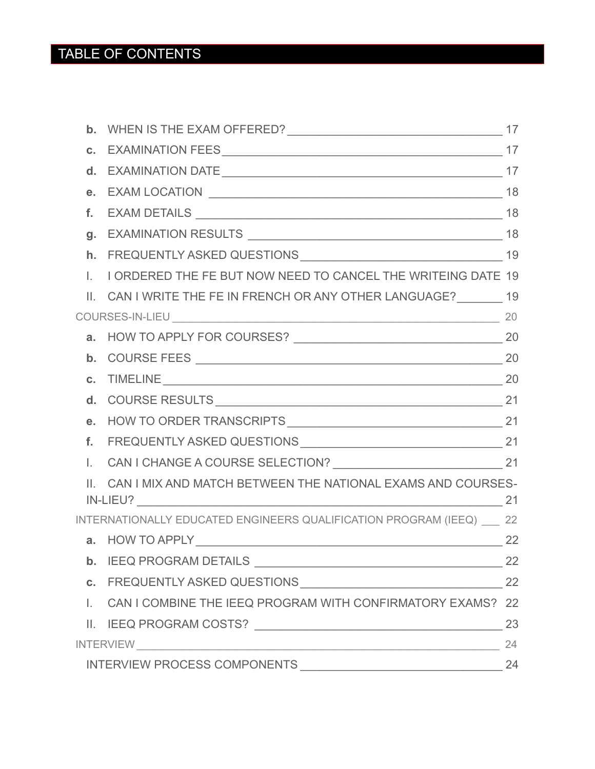# TABLE OF CONTENTS

| Τ.                        | I ORDERED THE FE BUT NOW NEED TO CANCEL THE WRITEING DATE 19          |    |
|---------------------------|-----------------------------------------------------------------------|----|
| $\mathbf{H}_{\mathbf{z}}$ | CAN I WRITE THE FE IN FRENCH OR ANY OTHER LANGUAGE? 19                |    |
|                           |                                                                       |    |
|                           |                                                                       |    |
|                           |                                                                       |    |
|                           | <b>c.</b> TIMELINE 20                                                 |    |
|                           |                                                                       |    |
|                           |                                                                       |    |
|                           |                                                                       |    |
| $\mathbb{L}$              |                                                                       |    |
| $\mathbf{H}_{\mathbf{r}}$ | CAN I MIX AND MATCH BETWEEN THE NATIONAL EXAMS AND COURSES-           |    |
|                           | INTERNATIONALLY EDUCATED ENGINEERS QUALIFICATION PROGRAM (IEEQ) __ 22 |    |
|                           |                                                                       | 22 |
|                           |                                                                       | 22 |
|                           |                                                                       | 22 |
|                           | I. CAN I COMBINE THE IEEQ PROGRAM WITH CONFIRMATORY EXAMS? 22         |    |
|                           |                                                                       | 23 |
|                           |                                                                       | 24 |
|                           |                                                                       | 24 |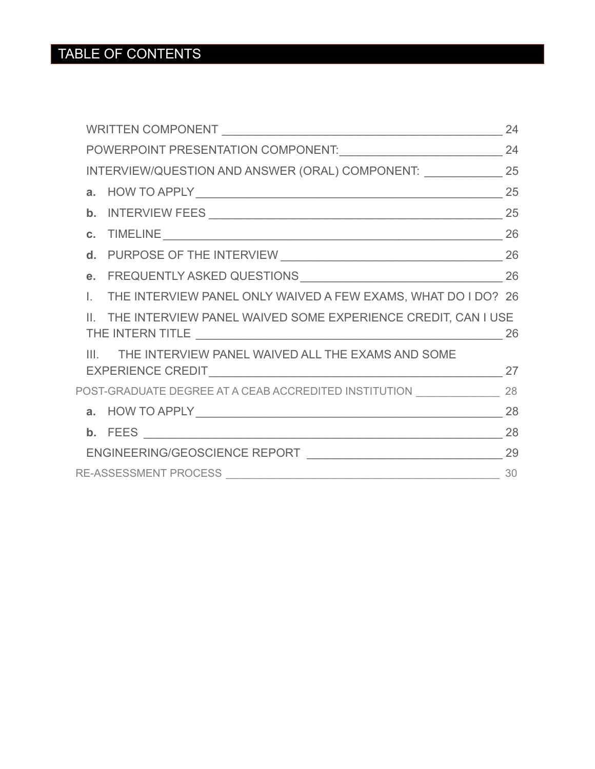|    |                                                                                    | 24 |  |
|----|------------------------------------------------------------------------------------|----|--|
|    |                                                                                    | 24 |  |
|    | INTERVIEW/QUESTION AND ANSWER (ORAL) COMPONENT: ______________ 25                  |    |  |
|    |                                                                                    |    |  |
|    |                                                                                    |    |  |
|    | <b>c.</b> TIMELINE 26                                                              |    |  |
|    |                                                                                    |    |  |
|    |                                                                                    |    |  |
| L. | THE INTERVIEW PANEL ONLY WAIVED A FEW EXAMS, WHAT DO I DO? 26                      |    |  |
|    | II. THE INTERVIEW PANEL WAIVED SOME EXPERIENCE CREDIT, CAN I USE                   |    |  |
|    | III. THE INTERVIEW PANEL WAIVED ALL THE EXAMS AND SOME                             |    |  |
|    |                                                                                    |    |  |
|    | POST-GRADUATE DEGREE AT A CEAB ACCREDITED INSTITUTION __________________________28 |    |  |
|    |                                                                                    |    |  |
|    |                                                                                    |    |  |
|    |                                                                                    |    |  |
|    |                                                                                    |    |  |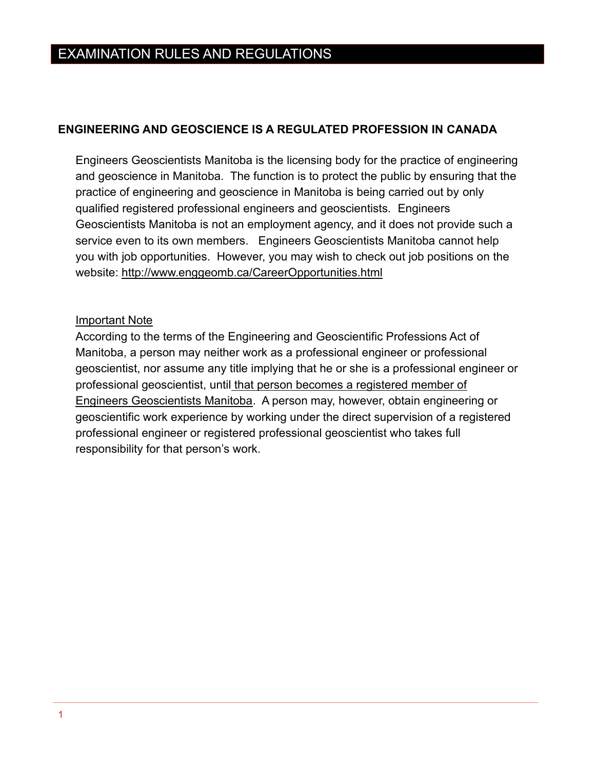## <span id="page-4-0"></span>**ENGINEERING AND GEOSCIENCE IS A REGULATED PROFESSION IN CANADA**

Engineers Geoscientists Manitoba is the licensing body for the practice of engineering and geoscience in Manitoba. The function is to protect the public by ensuring that the practice of engineering and geoscience in Manitoba is being carried out by only qualified registered professional engineers and geoscientists. Engineers Geoscientists Manitoba is not an employment agency, and it does not provide such a service even to its own members. Engineers Geoscientists Manitoba cannot help you with job opportunities. However, you may wish to check out job positions on the website:<http://www.enggeomb.ca/CareerOpportunities.html>

### Important Note

According to the terms of the Engineering and Geoscientific Professions Act of Manitoba, a person may neither work as a professional engineer or professional geoscientist, nor assume any title implying that he or she is a professional engineer or professional geoscientist, until that person becomes a registered member of Engineers Geoscientists Manitoba. A person may, however, obtain engineering or geoscientific work experience by working under the direct supervision of a registered professional engineer or registered professional geoscientist who takes full responsibility for that person's work.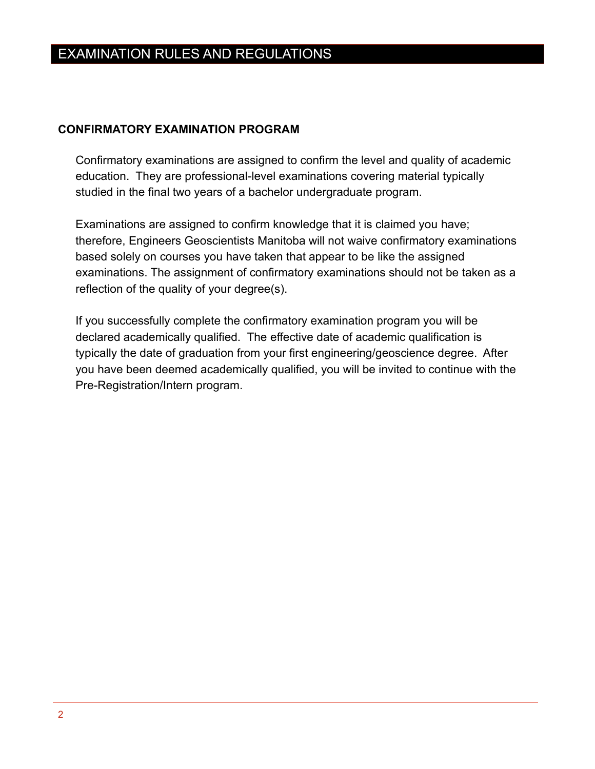### <span id="page-5-0"></span>**CONFIRMATORY EXAMINATION PROGRAM**

Confirmatory examinations are assigned to confirm the level and quality of academic education. They are professional-level examinations covering material typically studied in the final two years of a bachelor undergraduate program.

Examinations are assigned to confirm knowledge that it is claimed you have; therefore, Engineers Geoscientists Manitoba will not waive confirmatory examinations based solely on courses you have taken that appear to be like the assigned examinations. The assignment of confirmatory examinations should not be taken as a reflection of the quality of your degree(s).

If you successfully complete the confirmatory examination program you will be declared academically qualified. The effective date of academic qualification is typically the date of graduation from your first engineering/geoscience degree. After you have been deemed academically qualified, you will be invited to continue with the Pre-Registration/Intern program.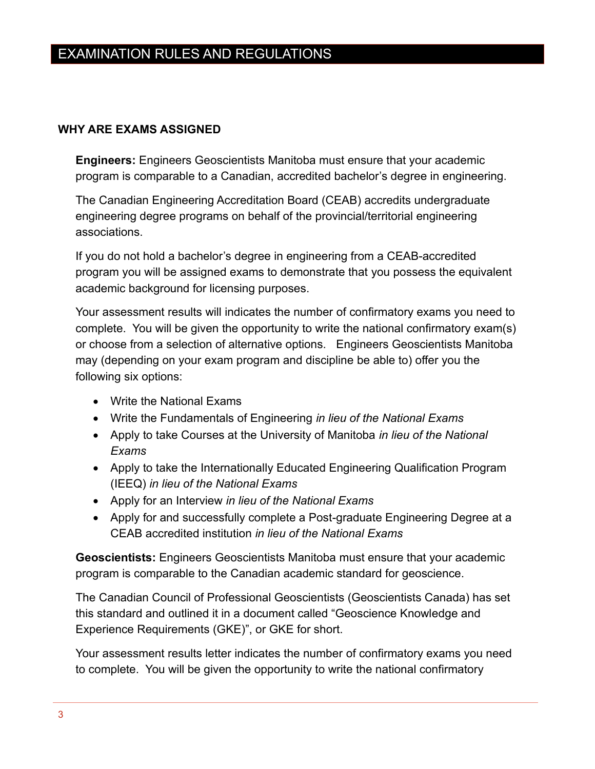## <span id="page-6-0"></span>**WHY ARE EXAMS ASSIGNED**

**Engineers:** Engineers Geoscientists Manitoba must ensure that your academic program is comparable to a Canadian, accredited bachelor's degree in engineering.

The Canadian Engineering Accreditation Board (CEAB) accredits undergraduate engineering degree programs on behalf of the provincial/territorial engineering associations.

If you do not hold a bachelor's degree in engineering from a CEAB-accredited program you will be assigned exams to demonstrate that you possess the equivalent academic background for licensing purposes.

Your assessment results will indicates the number of confirmatory exams you need to complete. You will be given the opportunity to write the national confirmatory exam(s) or choose from a selection of alternative options. Engineers Geoscientists Manitoba may (depending on your exam program and discipline be able to) offer you the following six options:

- Write the National Exams
- Write the Fundamentals of Engineering *in lieu of the National Exams*
- Apply to take Courses at the University of Manitoba *in lieu of the National Exams*
- Apply to take the Internationally Educated Engineering Qualification Program (IEEQ) *in lieu of the National Exams*
- Apply for an Interview *in lieu of the National Exams*
- Apply for and successfully complete a Post-graduate Engineering Degree at a CEAB accredited institution *in lieu of the National Exams*

**Geoscientists:** Engineers Geoscientists Manitoba must ensure that your academic program is comparable to the Canadian academic standard for geoscience.

The Canadian Council of Professional Geoscientists (Geoscientists Canada) has set this standard and outlined it in a document called "Geoscience Knowledge and Experience Requirements (GKE)", or GKE for short.

Your assessment results letter indicates the number of confirmatory exams you need to complete. You will be given the opportunity to write the national confirmatory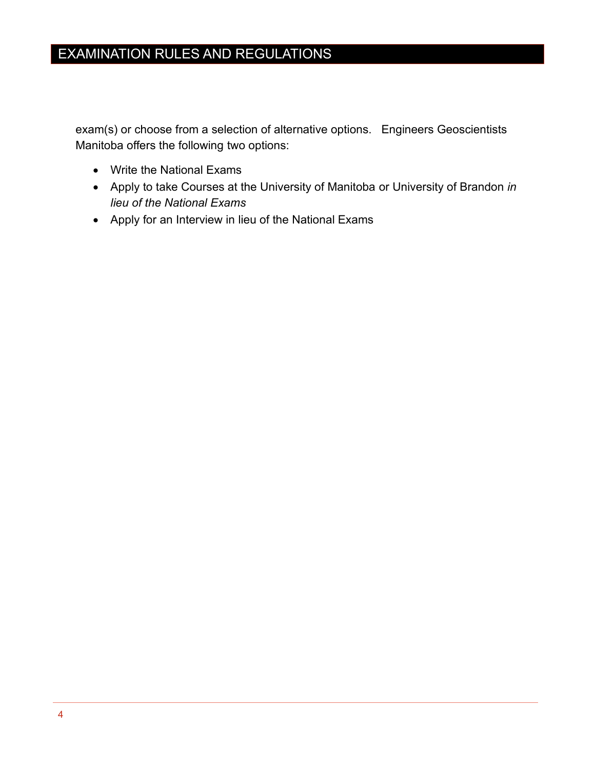exam(s) or choose from a selection of alternative options. Engineers Geoscientists Manitoba offers the following two options:

- Write the National Exams
- Apply to take Courses at the University of Manitoba or University of Brandon *in lieu of the National Exams*
- Apply for an Interview in lieu of the National Exams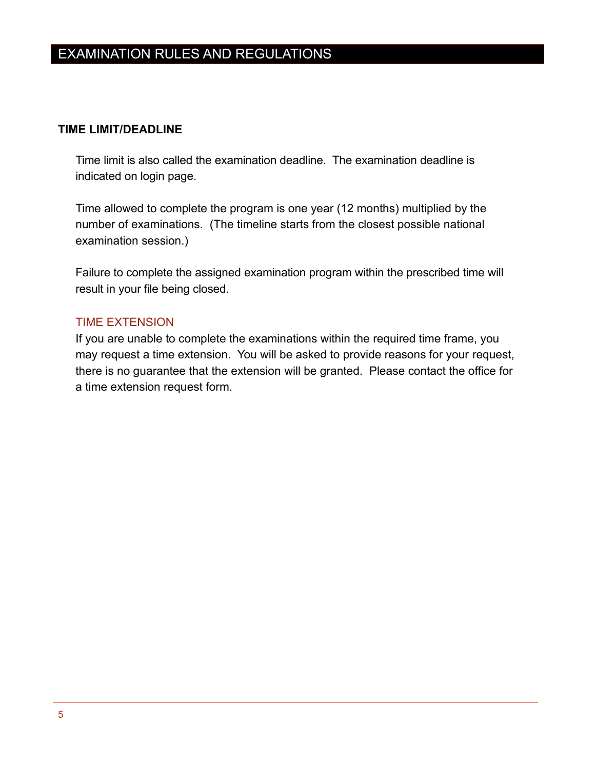### <span id="page-8-0"></span>**TIME LIMIT/DEADLINE**

Time limit is also called the examination deadline. The examination deadline is indicated on login page.

Time allowed to complete the program is one year (12 months) multiplied by the number of examinations. (The timeline starts from the closest possible national examination session.)

Failure to complete the assigned examination program within the prescribed time will result in your file being closed.

## <span id="page-8-1"></span>TIME EXTENSION

If you are unable to complete the examinations within the required time frame, you may request a time extension. You will be asked to provide reasons for your request, there is no guarantee that the extension will be granted. Please contact the office for a time extension request form.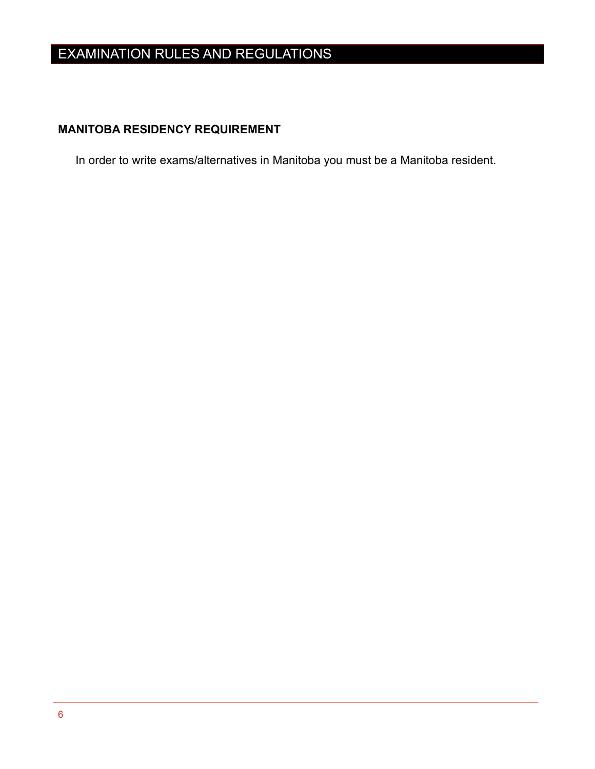## <span id="page-9-0"></span>**MANITOBA RESIDENCY REQUIREMENT**

In order to write exams/alternatives in Manitoba you must be a Manitoba resident.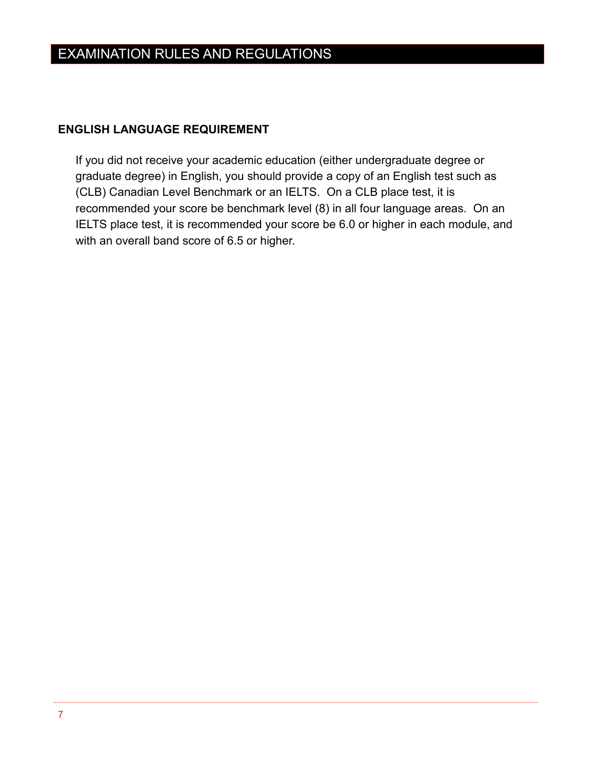## <span id="page-10-0"></span>**ENGLISH LANGUAGE REQUIREMENT**

If you did not receive your academic education (either undergraduate degree or graduate degree) in English, you should provide a copy of an English test such as (CLB) Canadian Level Benchmark or an IELTS. On a CLB place test, it is recommended your score be benchmark level (8) in all four language areas. On an IELTS place test, it is recommended your score be 6.0 or higher in each module, and with an overall band score of 6.5 or higher.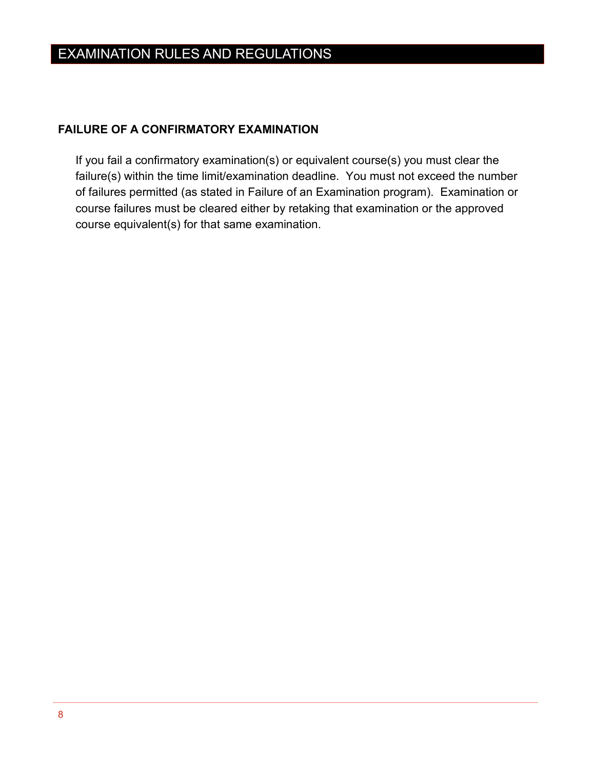## <span id="page-11-0"></span>**FAILURE OF A CONFIRMATORY EXAMINATION**

If you fail a confirmatory examination(s) or equivalent course(s) you must clear the failure(s) within the time limit/examination deadline. You must not exceed the number of failures permitted (as stated in Failure of an Examination program). Examination or course failures must be cleared either by retaking that examination or the approved course equivalent(s) for that same examination.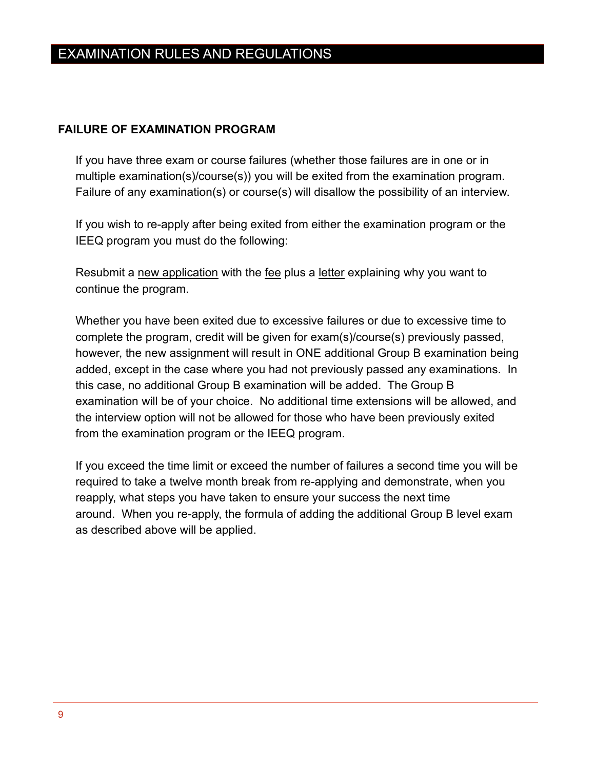## <span id="page-12-0"></span>**FAILURE OF EXAMINATION PROGRAM**

If you have three exam or course failures (whether those failures are in one or in multiple examination(s)/course(s)) you will be exited from the examination program. Failure of any examination(s) or course(s) will disallow the possibility of an interview.

If you wish to re-apply after being exited from either the examination program or the IEEQ program you must do the following:

Resubmit a new application with the fee plus a letter explaining why you want to continue the program.

Whether you have been exited due to excessive failures or due to excessive time to complete the program, credit will be given for exam(s)/course(s) previously passed, however, the new assignment will result in ONE additional Group B examination being added, except in the case where you had not previously passed any examinations. In this case, no additional Group B examination will be added. The Group B examination will be of your choice. No additional time extensions will be allowed, and the interview option will not be allowed for those who have been previously exited from the examination program or the IEEQ program.

If you exceed the time limit or exceed the number of failures a second time you will be required to take a twelve month break from re-applying and demonstrate, when you reapply, what steps you have taken to ensure your success the next time around. When you re-apply, the formula of adding the additional Group B level exam as described above will be applied.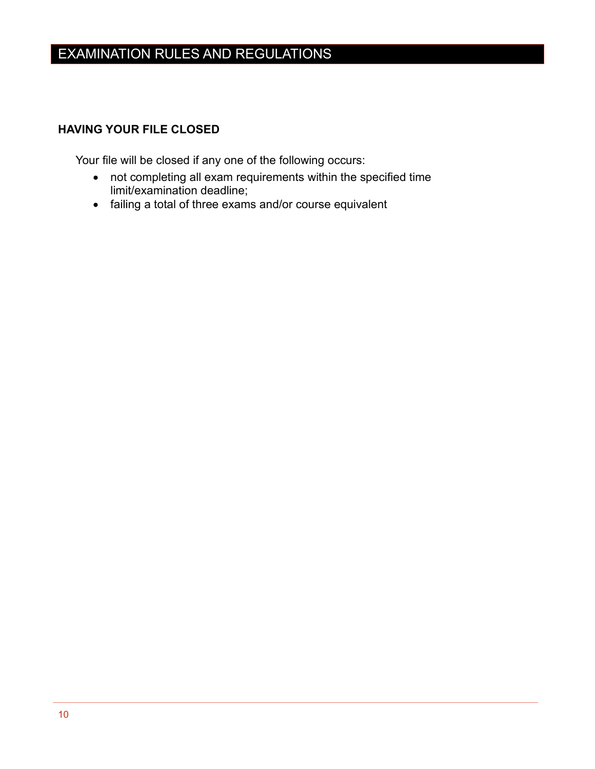## <span id="page-13-0"></span>**HAVING YOUR FILE CLOSED**

Your file will be closed if any one of the following occurs:

- not completing all exam requirements within the specified time limit/examination deadline;
- failing a total of three exams and/or course equivalent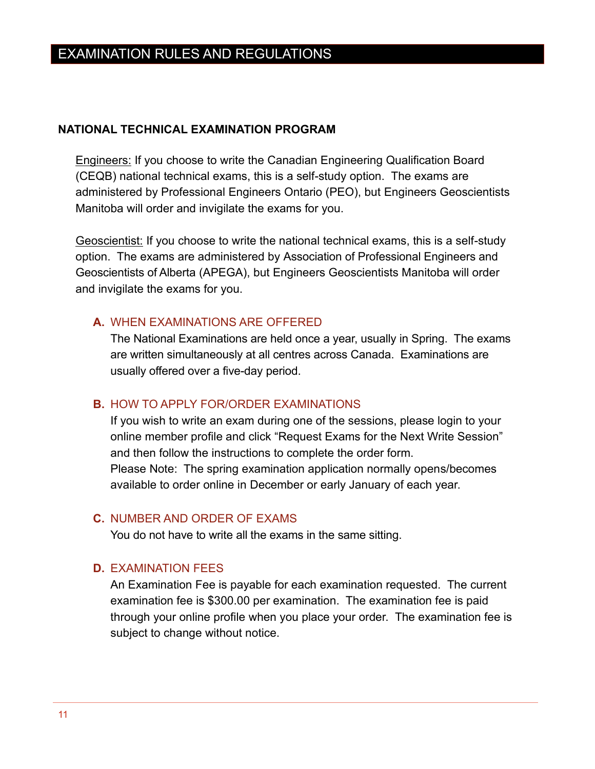#### <span id="page-14-0"></span>**NATIONAL TECHNICAL EXAMINATION PROGRAM**

Engineers: If you choose to write the Canadian Engineering Qualification Board (CEQB) national technical exams, this is a self-study option. The exams are administered by Professional Engineers Ontario (PEO), but Engineers Geoscientists Manitoba will order and invigilate the exams for you.

Geoscientist: If you choose to write the national technical exams, this is a self-study option. The exams are administered by Association of Professional Engineers and Geoscientists of Alberta (APEGA), but Engineers Geoscientists Manitoba will order and invigilate the exams for you.

### <span id="page-14-1"></span>**A.** WHEN EXAMINATIONS ARE OFFERED

The National Examinations are held once a year, usually in Spring. The exams are written simultaneously at all centres across Canada. Examinations are usually offered over a five-day period.

#### <span id="page-14-2"></span>**B.** HOW TO APPLY FOR/ORDER EXAMINATIONS

If you wish to write an exam during one of the sessions, please login to your online member profile and click "Request Exams for the Next Write Session" and then follow the instructions to complete the order form. Please Note: The spring examination application normally opens/becomes available to order online in December or early January of each year.

#### <span id="page-14-3"></span>**C.** NUMBER AND ORDER OF EXAMS

You do not have to write all the exams in the same sitting.

#### <span id="page-14-4"></span>**D.** EXAMINATION FEES

An Examination Fee is payable for each examination requested. The current examination fee is \$300.00 per examination. The examination fee is paid through your online profile when you place your order. The examination fee is subject to change without notice.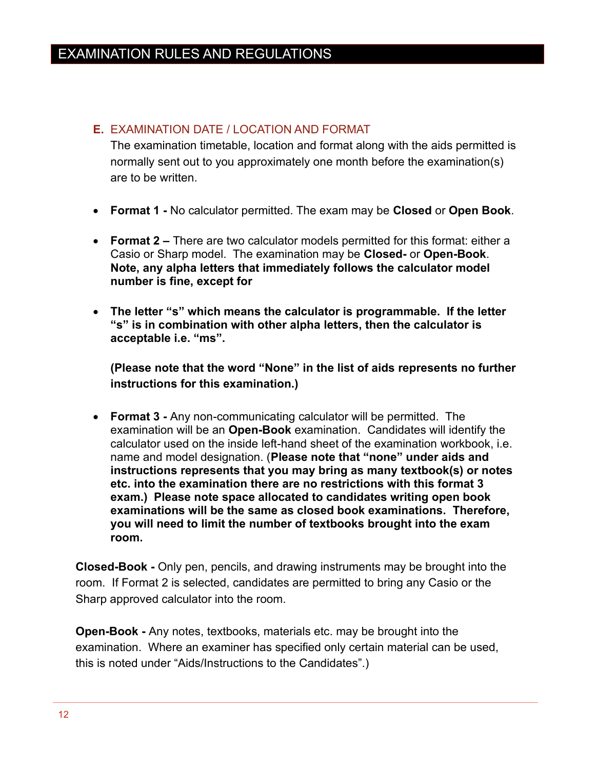## <span id="page-15-0"></span>**E.** EXAMINATION DATE / LOCATION AND FORMAT

The examination timetable, location and format along with the aids permitted is normally sent out to you approximately one month before the examination(s) are to be written.

- **Format 1 -** No calculator permitted. The exam may be **Closed** or **Open Book**.
- **Format 2 –** There are two calculator models permitted for this format: either a Casio or Sharp model. The examination may be **Closed-** or **Open-Book**. **Note, any alpha letters that immediately follows the calculator model number is fine, except for**
- **The letter "s" which means the calculator is programmable. If the letter "s" is in combination with other alpha letters, then the calculator is acceptable i.e. "ms".**

**(Please note that the word "None" in the list of aids represents no further instructions for this examination.)**

• **Format 3 -** Any non-communicating calculator will be permitted. The examination will be an **Open-Book** examination. Candidates will identify the calculator used on the inside left-hand sheet of the examination workbook, i.e. name and model designation. (**Please note that "none" under aids and instructions represents that you may bring as many textbook(s) or notes etc. into the examination there are no restrictions with this format 3 exam.) Please note space allocated to candidates writing open book examinations will be the same as closed book examinations. Therefore, you will need to limit the number of textbooks brought into the exam room.** 

**Closed-Book -** Only pen, pencils, and drawing instruments may be brought into the room. If Format 2 is selected, candidates are permitted to bring any Casio or the Sharp approved calculator into the room.

**Open-Book -** Any notes, textbooks, materials etc. may be brought into the examination. Where an examiner has specified only certain material can be used, this is noted under "Aids/Instructions to the Candidates".)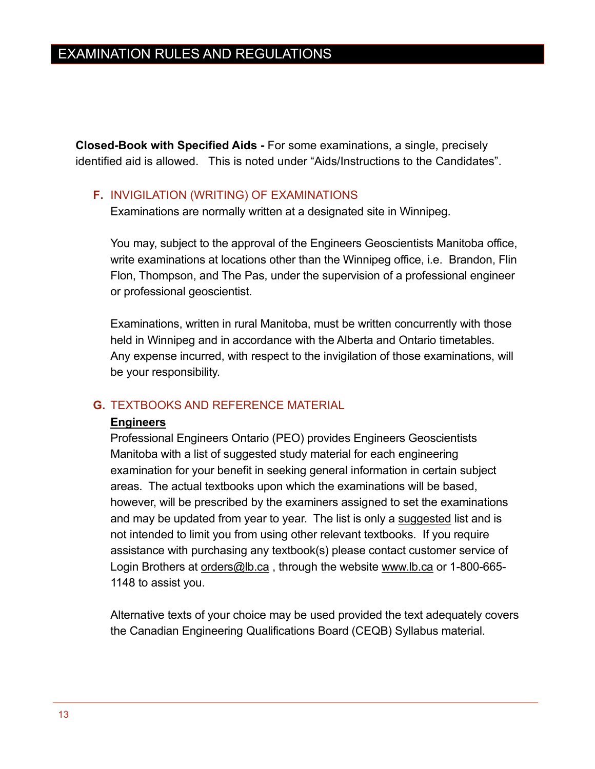**Closed-Book with Specified Aids -** For some examinations, a single, precisely identified aid is allowed. This is noted under "Aids/Instructions to the Candidates".

## <span id="page-16-0"></span>**F.** INVIGILATION (WRITING) OF EXAMINATIONS

Examinations are normally written at a designated site in Winnipeg.

You may, subject to the approval of the Engineers Geoscientists Manitoba office, write examinations at locations other than the Winnipeg office, i.e. Brandon, Flin Flon, Thompson, and The Pas, under the supervision of a professional engineer or professional geoscientist.

Examinations, written in rural Manitoba, must be written concurrently with those held in Winnipeg and in accordance with the Alberta and Ontario timetables. Any expense incurred, with respect to the invigilation of those examinations, will be your responsibility.

## <span id="page-16-1"></span>**G.** TEXTBOOKS AND REFERENCE MATERIAL

#### **Engineers**

Professional Engineers Ontario (PEO) provides Engineers Geoscientists Manitoba with a list of suggested study material for each engineering examination for your benefit in seeking general information in certain subject areas. The actual textbooks upon which the examinations will be based, however, will be prescribed by the examiners assigned to set the examinations and may be updated from year to year. The list is only a suggested list and is not intended to limit you from using other relevant textbooks. If you require assistance with purchasing any textbook(s) please contact customer service of Login Brothers at [orders@lb.ca](mailto:orders@lb.ca), through the website [www.lb.ca](http://www.lb.ca/) or 1-800-665-1148 to assist you.

Alternative texts of your choice may be used provided the text adequately covers the Canadian Engineering Qualifications Board (CEQB) Syllabus material.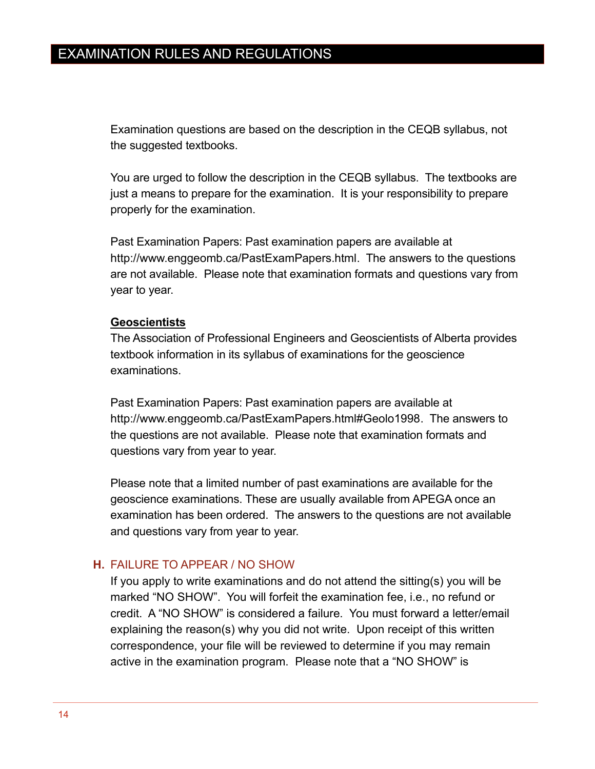Examination questions are based on the description in the CEQB syllabus, not the suggested textbooks.

You are urged to follow the description in the CEQB syllabus. The textbooks are just a means to prepare for the examination. It is your responsibility to prepare properly for the examination.

Past Examination Papers: Past examination papers are available at [http://www.enggeomb.ca/PastExamPapers.html.](http://www.enggeomb.ca/PastExamPapers.html) The answers to the questions are not available. Please note that examination formats and questions vary from year to year.

#### **Geoscientists**

The Association of Professional Engineers and Geoscientists of Alberta provides textbook information in its syllabus of examinations for the geoscience examinations.

Past Examination Papers: Past examination papers are available at [http://www.enggeomb.ca/PastExamPapers.html#Geolo1998.](http://www.enggeomb.ca/PastExamPapers.html#Geolo1998) The answers to the questions are not available. Please note that examination formats and questions vary from year to year.

Please note that a limited number of past examinations are available for the geoscience examinations. These are usually available from APEGA once an examination has been ordered. The answers to the questions are not available and questions vary from year to year.

### <span id="page-17-0"></span>**H.** FAILURE TO APPEAR / NO SHOW

If you apply to write examinations and do not attend the sitting(s) you will be marked "NO SHOW". You will forfeit the examination fee, i.e., no refund or credit. A "NO SHOW" is considered a failure. You must forward a letter/email explaining the reason(s) why you did not write. Upon receipt of this written correspondence, your file will be reviewed to determine if you may remain active in the examination program. Please note that a "NO SHOW" is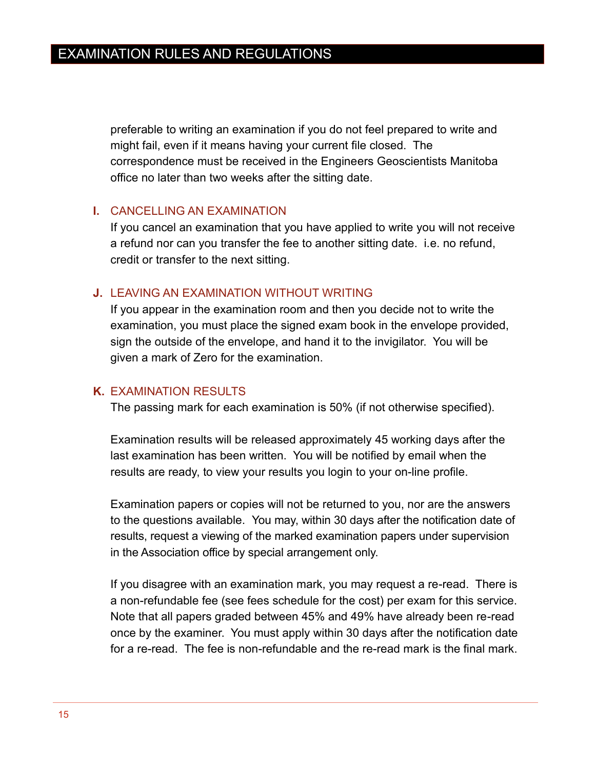preferable to writing an examination if you do not feel prepared to write and might fail, even if it means having your current file closed. The correspondence must be received in the Engineers Geoscientists Manitoba office no later than two weeks after the sitting date.

## <span id="page-18-0"></span>**I.** CANCELLING AN EXAMINATION

If you cancel an examination that you have applied to write you will not receive a refund nor can you transfer the fee to another sitting date. i.e. no refund, credit or transfer to the next sitting.

## <span id="page-18-1"></span>**J.** LEAVING AN EXAMINATION WITHOUT WRITING

If you appear in the examination room and then you decide not to write the examination, you must place the signed exam book in the envelope provided, sign the outside of the envelope, and hand it to the invigilator. You will be given a mark of Zero for the examination.

## <span id="page-18-2"></span>**K.** EXAMINATION RESULTS

The passing mark for each examination is 50% (if not otherwise specified).

Examination results will be released approximately 45 working days after the last examination has been written. You will be notified by email when the results are ready, to view your results you login to your on-line profile.

Examination papers or copies will not be returned to you, nor are the answers to the questions available. You may, within 30 days after the notification date of results, request a viewing of the marked examination papers under supervision in the Association office by special arrangement only.

If you disagree with an examination mark, you may request a re-read. There is a non-refundable fee (see fees schedule for the cost) per exam for this service. Note that all papers graded between 45% and 49% have already been re-read once by the examiner. You must apply within 30 days after the notification date for a re-read. The fee is non-refundable and the re-read mark is the final mark.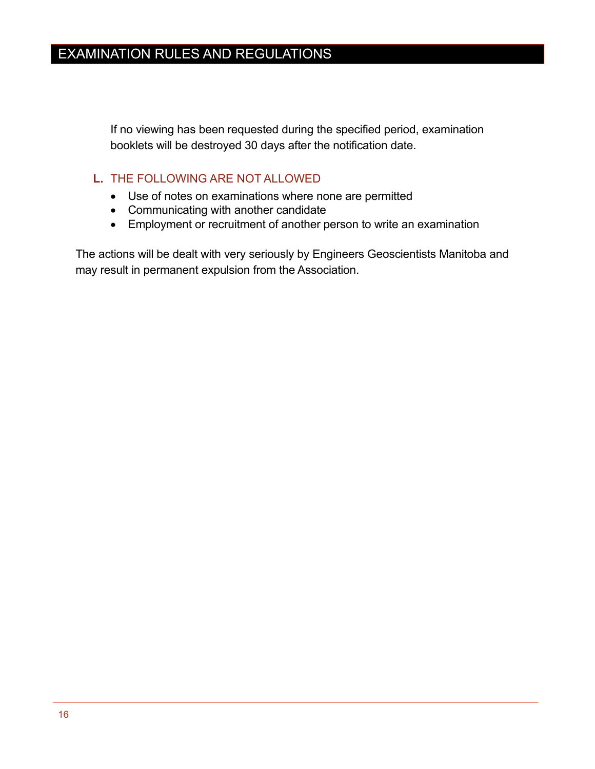If no viewing has been requested during the specified period, examination booklets will be destroyed 30 days after the notification date.

## <span id="page-19-0"></span>**L.** THE FOLLOWING ARE NOT ALLOWED

- Use of notes on examinations where none are permitted
- Communicating with another candidate
- Employment or recruitment of another person to write an examination

The actions will be dealt with very seriously by Engineers Geoscientists Manitoba and may result in permanent expulsion from the Association.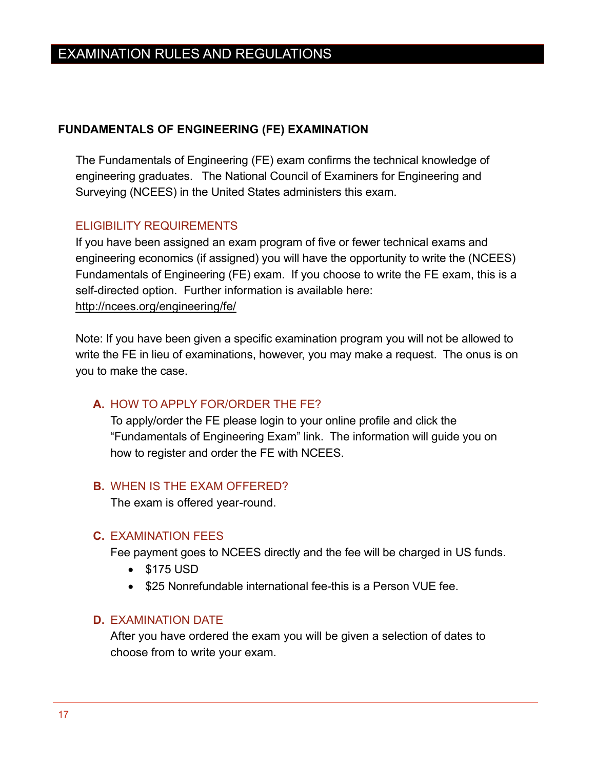### <span id="page-20-0"></span>**FUNDAMENTALS OF ENGINEERING (FE) EXAMINATION**

The Fundamentals of Engineering (FE) exam confirms the technical knowledge of engineering graduates. The National Council of Examiners for Engineering and Surveying (NCEES) in the United States administers this exam.

## <span id="page-20-1"></span>ELIGIBILITY REQUIREMENTS

If you have been assigned an exam program of five or fewer technical exams and engineering economics (if assigned) you will have the opportunity to write the (NCEES) Fundamentals of Engineering (FE) exam. If you choose to write the FE exam, this is a self-directed option. Further information is available here: <http://ncees.org/engineering/fe/>

Note: If you have been given a specific examination program you will not be allowed to write the FE in lieu of examinations, however, you may make a request. The onus is on you to make the case.

### <span id="page-20-2"></span>**A.** HOW TO APPLY FOR/ORDER THE FE?

To apply/order the FE please login to your online profile and click the "Fundamentals of Engineering Exam" link. The information will guide you on how to register and order the FE with NCEES.

## <span id="page-20-3"></span>**B.** WHEN IS THE EXAM OFFERED?

The exam is offered year-round.

#### <span id="page-20-4"></span>**C.** EXAMINATION FEES

Fee payment goes to NCEES directly and the fee will be charged in US funds.

- \$175 USD
- \$25 Nonrefundable international fee-this is a Person VUE fee.

### <span id="page-20-5"></span>**D.** EXAMINATION DATE

After you have ordered the exam you will be given a selection of dates to choose from to write your exam.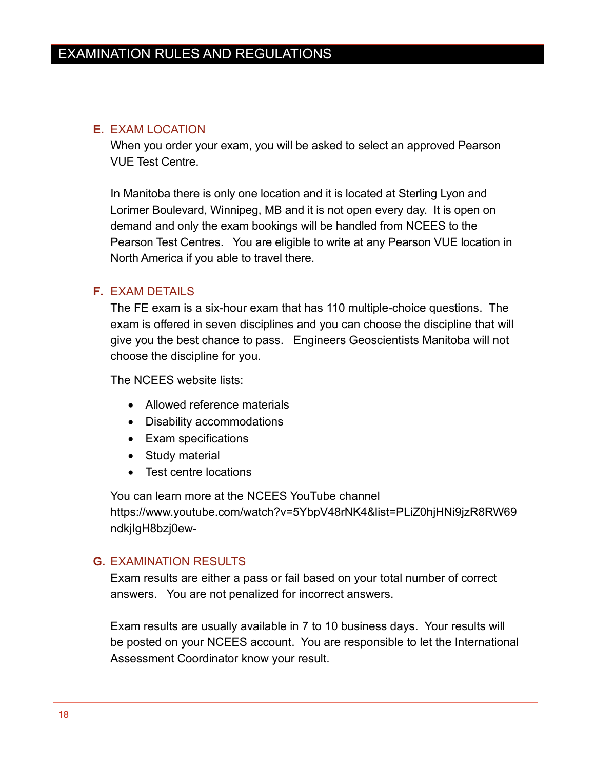## <span id="page-21-0"></span>**E.** EXAM LOCATION

When you order your exam, you will be asked to select an approved Pearson VUE Test Centre.

In Manitoba there is only one location and it is located at Sterling Lyon and Lorimer Boulevard, Winnipeg, MB and it is not open every day. It is open on demand and only the exam bookings will be handled from NCEES to the Pearson Test Centres. You are eligible to write at any Pearson VUE location in North America if you able to travel there.

## <span id="page-21-1"></span>**F.** EXAM DETAILS

The FE exam is a six-hour exam that has 110 multiple-choice questions. The exam is offered in seven disciplines and you can choose the discipline that will give you the best chance to pass. Engineers Geoscientists Manitoba will not choose the discipline for you.

The NCEES website lists:

- Allowed reference materials
- Disability accommodations
- Exam specifications
- Study material
- Test centre locations

You can learn more at the NCEES YouTube channel [https://www.youtube.com/watch?v=5YbpV48rNK4&list=PLiZ0hjHNi9jzR8RW69](https://www.youtube.com/watch?v=5YbpV48rNK4&list=PLiZ0hjHNi9jzR8RW69ndkjIgH8bzj0ew-) [ndkjIgH8bzj0ew-](https://www.youtube.com/watch?v=5YbpV48rNK4&list=PLiZ0hjHNi9jzR8RW69ndkjIgH8bzj0ew-)

### <span id="page-21-2"></span>**G.** EXAMINATION RESULTS

Exam results are either a pass or fail based on your total number of correct answers. You are not penalized for incorrect answers.

Exam results are usually available in 7 to 10 business days. Your results will be posted on your NCEES account. You are responsible to let the International Assessment Coordinator know your result.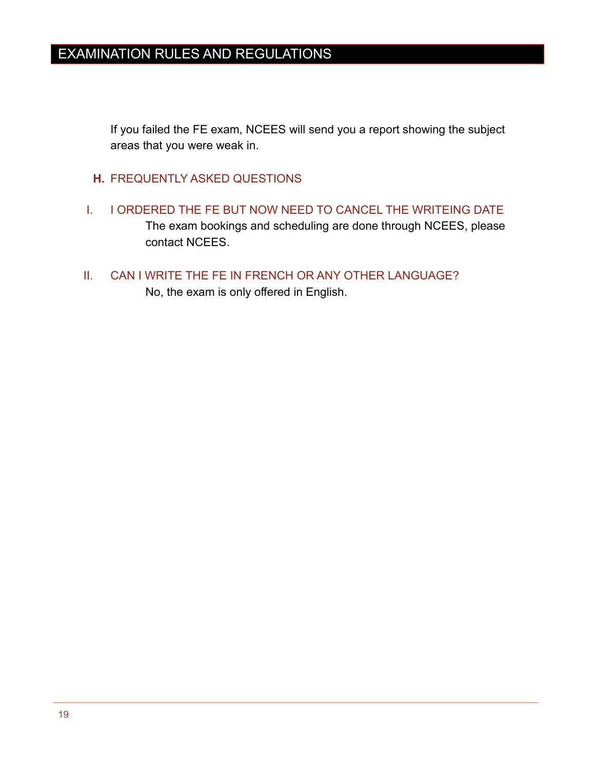If you failed the FE exam, NCEES will send you a report showing the subject areas that you were weak in.

- <span id="page-22-0"></span>**H.** FREQUENTLY ASKED QUESTIONS
- <span id="page-22-1"></span>I. I ORDERED THE FE BUT NOW NEED TO CANCEL THE WRITEING DATE The exam bookings and scheduling are done through NCEES, please contact NCEES.
- <span id="page-22-2"></span>II. CAN I WRITE THE FE IN FRENCH OR ANY OTHER LANGUAGE?

No, the exam is only offered in English.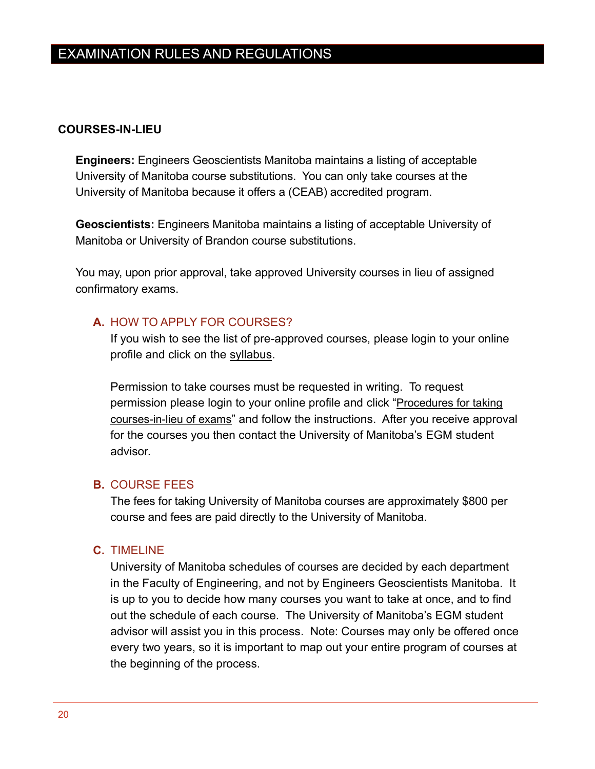## <span id="page-23-0"></span>**COURSES-IN-LIEU**

**Engineers:** Engineers Geoscientists Manitoba maintains a listing of acceptable University of Manitoba course substitutions. You can only take courses at the University of Manitoba because it offers a (CEAB) accredited program.

**Geoscientists:** Engineers Manitoba maintains a listing of acceptable University of Manitoba or University of Brandon course substitutions.

You may, upon prior approval, take approved University courses in lieu of assigned confirmatory exams.

## <span id="page-23-1"></span>**A.** HOW TO APPLY FOR COURSES?

If you wish to see the list of pre-approved courses, please login to your online profile and click on the syllabus.

Permission to take courses must be requested in writing. To request permission please login to your online profile and click "[Procedures for taking](http://www.enggeomb.ca/pdf/Registration/Assessment/ProceduresForTakingCoursesInLieu.pdf)  [courses-in-lieu of exams](http://www.enggeomb.ca/pdf/Registration/Assessment/ProceduresForTakingCoursesInLieu.pdf)" and follow the instructions. After you receive approval for the courses you then contact the University of Manitoba's EGM student advisor.

### <span id="page-23-2"></span>**B.** COURSE FEES

The fees for taking University of Manitoba courses are approximately \$800 per course and fees are paid directly to the University of Manitoba.

### <span id="page-23-3"></span>**C.** TIMELINE

University of Manitoba schedules of courses are decided by each department in the Faculty of Engineering, and not by Engineers Geoscientists Manitoba. It is up to you to decide how many courses you want to take at once, and to find out the schedule of each course. The University of Manitoba's EGM student advisor will assist you in this process. Note: Courses may only be offered once every two years, so it is important to map out your entire program of courses at the beginning of the process.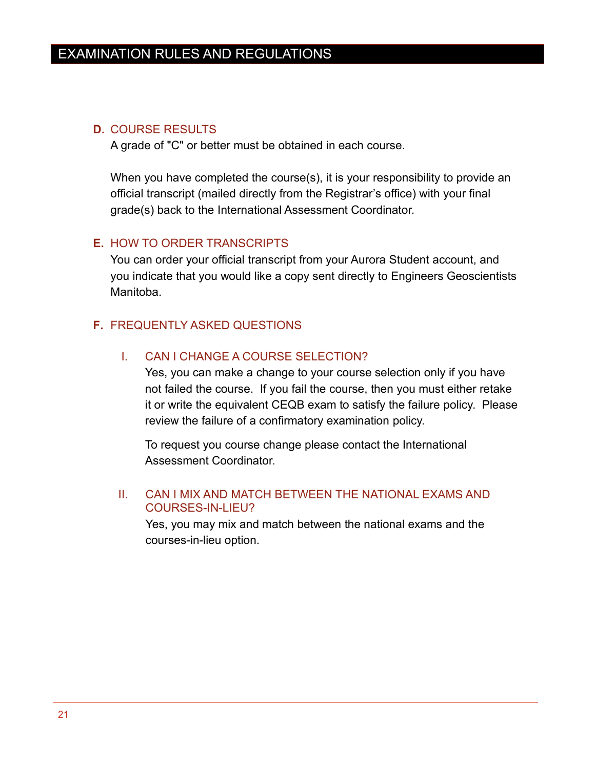## <span id="page-24-0"></span>**D.** COURSE RESULTS

A grade of "C" or better must be obtained in each course.

When you have completed the course(s), it is your responsibility to provide an official transcript (mailed directly from the Registrar's office) with your final grade(s) back to the International Assessment Coordinator.

## <span id="page-24-1"></span>**E.** HOW TO ORDER TRANSCRIPTS

You can order your official transcript from your Aurora Student account, and you indicate that you would like a copy sent directly to Engineers Geoscientists Manitoba.

## <span id="page-24-3"></span><span id="page-24-2"></span>**F.** FREQUENTLY ASKED QUESTIONS

## I. CAN I CHANGE A COURSE SELECTION?

Yes, you can make a change to your course selection only if you have not failed the course. If you fail the course, then you must either retake it or write the equivalent CEQB exam to satisfy the failure policy. Please review the failure of a confirmatory examination policy.

To request you course change please contact the International Assessment Coordinator.

### <span id="page-24-4"></span>II. CAN I MIX AND MATCH BETWEEN THE NATIONAL EXAMS AND COURSES-IN-LIEU?

Yes, you may mix and match between the national exams and the courses-in-lieu option.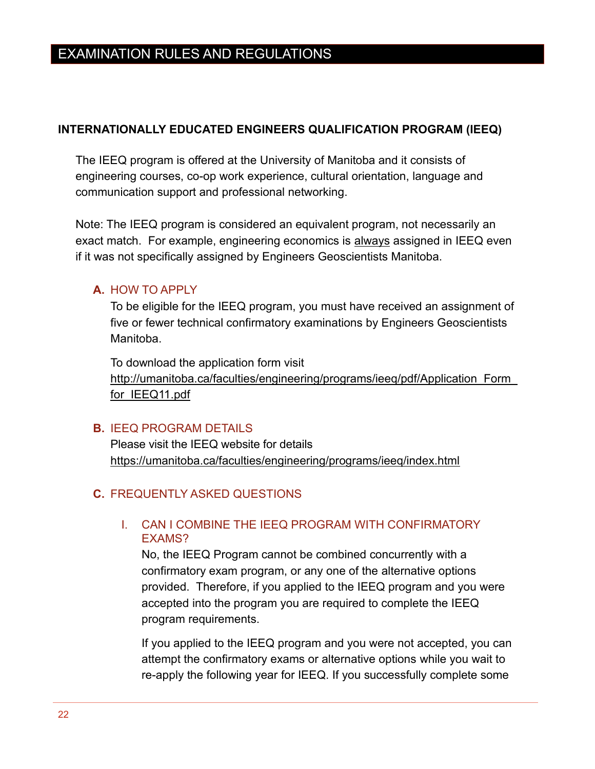## <span id="page-25-0"></span>**INTERNATIONALLY EDUCATED ENGINEERS QUALIFICATION PROGRAM (IEEQ)**

The IEEQ program is offered at the University of Manitoba and it consists of engineering courses, co-op work experience, cultural orientation, language and communication support and professional networking.

Note: The IEEQ program is considered an equivalent program, not necessarily an exact match. For example, engineering economics is always assigned in IEEQ even if it was not specifically assigned by Engineers Geoscientists Manitoba.

## <span id="page-25-1"></span>**A.** HOW TO APPLY

To be eligible for the IEEQ program, you must have received an assignment of five or fewer technical confirmatory examinations by Engineers Geoscientists Manitoba.

To download the application form visit http://umanitoba.ca/faculties/engineering/programs/ieeq/pdf/Application Form [for\\_IEEQ11.pdf](http://umanitoba.ca/faculties/engineering/programs/ieeq/pdf/Application_Form_for_IEEQ11.pdf)

## <span id="page-25-2"></span>**B.** IEEQ PROGRAM DETAILS

Please visit the IEEQ website for details <https://umanitoba.ca/faculties/engineering/programs/ieeq/index.html>

## <span id="page-25-4"></span><span id="page-25-3"></span>**C.** FREQUENTLY ASKED QUESTIONS

## I. CAN I COMBINE THE IEEQ PROGRAM WITH CONFIRMATORY EXAMS?

No, the IEEQ Program cannot be combined concurrently with a confirmatory exam program, or any one of the alternative options provided. Therefore, if you applied to the IEEQ program and you were accepted into the program you are required to complete the IEEQ program requirements.

If you applied to the IEEQ program and you were not accepted, you can attempt the confirmatory exams or alternative options while you wait to re-apply the following year for IEEQ. If you successfully complete some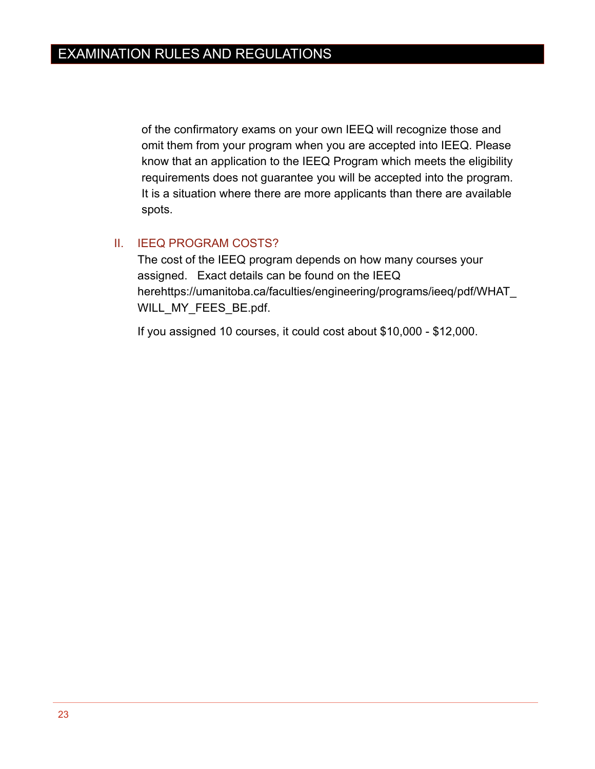of the confirmatory exams on your own IEEQ will recognize those and omit them from your program when you are accepted into IEEQ. Please know that an application to the IEEQ Program which meets the eligibility requirements does not guarantee you will be accepted into the program. It is a situation where there are more applicants than there are available spots.

## <span id="page-26-0"></span>II. IEEQ PROGRAM COSTS?

The cost of the IEEQ program depends on how many courses your assigned. Exact details can be found on the IEEQ her[ehttps://umanitoba.ca/faculties/engineering/programs/ieeq/pdf/WHAT\\_](https://umanitoba.ca/faculties/engineering/programs/ieeq/pdf/WHAT_WILL_MY_FEES_BE.pdf) [WILL\\_MY\\_FEES\\_BE.pdf.](https://umanitoba.ca/faculties/engineering/programs/ieeq/pdf/WHAT_WILL_MY_FEES_BE.pdf)

If you assigned 10 courses, it could cost about \$10,000 - \$12,000.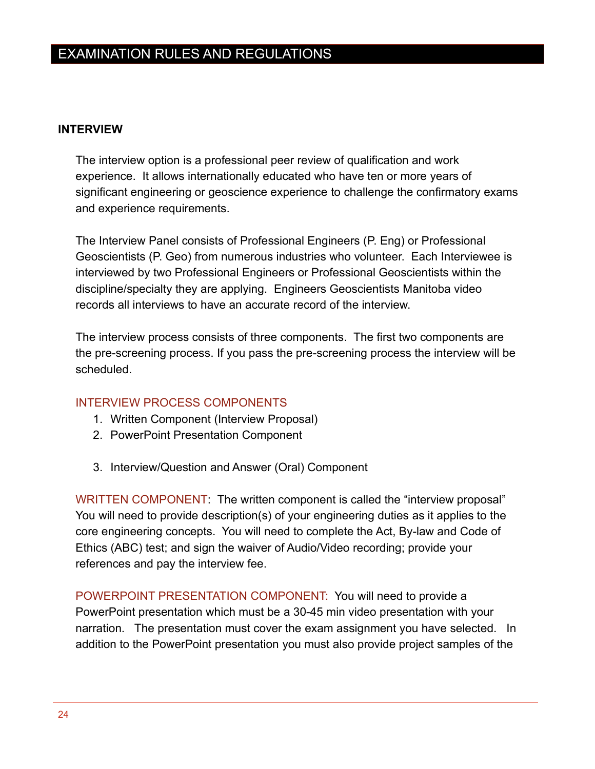## <span id="page-27-0"></span>**INTERVIEW**

The interview option is a professional peer review of qualification and work experience. It allows internationally educated who have ten or more years of significant engineering or geoscience experience to challenge the confirmatory exams and experience requirements.

The Interview Panel consists of Professional Engineers (P. Eng) or Professional Geoscientists (P. Geo) from numerous industries who volunteer. Each Interviewee is interviewed by two Professional Engineers or Professional Geoscientists within the discipline/specialty they are applying. Engineers Geoscientists Manitoba video records all interviews to have an accurate record of the interview.

The interview process consists of three components. The first two components are the pre-screening process. If you pass the pre-screening process the interview will be scheduled.

## <span id="page-27-1"></span>INTERVIEW PROCESS COMPONENTS

- 1. Written Component (Interview Proposal)
- 2. PowerPoint Presentation Component
- 3. Interview/Question and Answer (Oral) Component

<span id="page-27-2"></span>WRITTEN COMPONENT: The written component is called the "interview proposal" You will need to provide description(s) of your engineering duties as it applies to the core engineering concepts. You will need to complete the Act, By-law and Code of Ethics (ABC) test; and sign the waiver of Audio/Video recording; provide your references and pay the interview fee.

<span id="page-27-3"></span>POWERPOINT PRESENTATION COMPONENT: You will need to provide a PowerPoint presentation which must be a 30-45 min video presentation with your narration. The presentation must cover the exam assignment you have selected. In addition to the PowerPoint presentation you must also provide project samples of the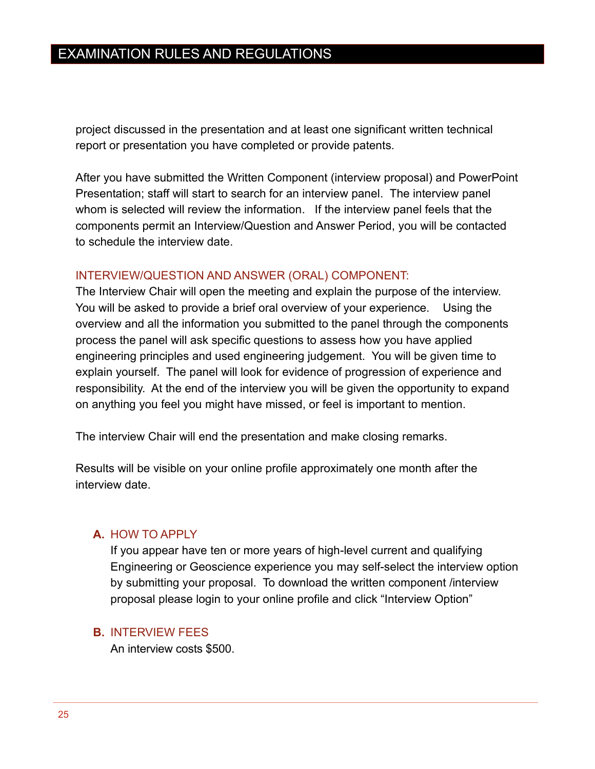project discussed in the presentation and at least one significant written technical report or presentation you have completed or provide patents.

After you have submitted the Written Component (interview proposal) and PowerPoint Presentation; staff will start to search for an interview panel. The interview panel whom is selected will review the information. If the interview panel feels that the components permit an Interview/Question and Answer Period, you will be contacted to schedule the interview date.

#### <span id="page-28-0"></span>INTERVIEW/QUESTION AND ANSWER (ORAL) COMPONENT:

The Interview Chair will open the meeting and explain the purpose of the interview. You will be asked to provide a brief oral overview of your experience. Using the overview and all the information you submitted to the panel through the components process the panel will ask specific questions to assess how you have applied engineering principles and used engineering judgement. You will be given time to explain yourself. The panel will look for evidence of progression of experience and responsibility. At the end of the interview you will be given the opportunity to expand on anything you feel you might have missed, or feel is important to mention.

The interview Chair will end the presentation and make closing remarks.

Results will be visible on your online profile approximately one month after the interview date.

#### <span id="page-28-1"></span>**A.** HOW TO APPLY

If you appear have ten or more years of high-level current and qualifying Engineering or Geoscience experience you may self-select the interview option by submitting your proposal. To download the written component /interview proposal please login to your online profile and click "Interview Option"

#### <span id="page-28-2"></span>**B.** INTERVIEW FEES

An interview costs \$500.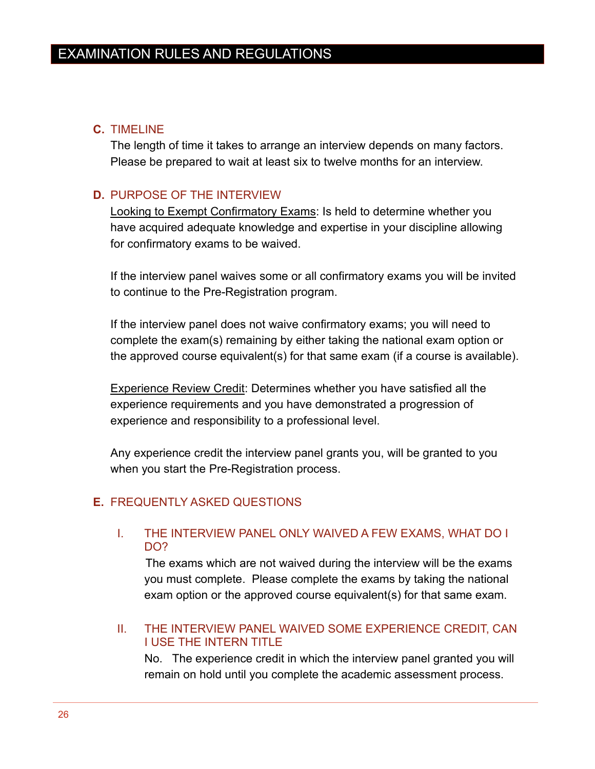## <span id="page-29-0"></span>**C.** TIMELINE

The length of time it takes to arrange an interview depends on many factors. Please be prepared to wait at least six to twelve months for an interview.

## <span id="page-29-1"></span>**D.** PURPOSE OF THE INTERVIEW

Looking to Exempt Confirmatory Exams: Is held to determine whether you have acquired adequate knowledge and expertise in your discipline allowing for confirmatory exams to be waived.

If the interview panel waives some or all confirmatory exams you will be invited to continue to the Pre-Registration program.

If the interview panel does not waive confirmatory exams; you will need to complete the exam(s) remaining by either taking the national exam option or the approved course equivalent(s) for that same exam (if a course is available).

Experience Review Credit: Determines whether you have satisfied all the experience requirements and you have demonstrated a progression of experience and responsibility to a professional level.

Any experience credit the interview panel grants you, will be granted to you when you start the Pre-Registration process.

## <span id="page-29-3"></span><span id="page-29-2"></span>**E.** FREQUENTLY ASKED QUESTIONS

## I. THE INTERVIEW PANEL ONLY WAIVED A FEW EXAMS, WHAT DO I DO?

The exams which are not waived during the interview will be the exams you must complete. Please complete the exams by taking the national exam option or the approved course equivalent(s) for that same exam.

## <span id="page-29-4"></span>II. THE INTERVIEW PANEL WAIVED SOME EXPERIENCE CREDIT, CAN I USE THE INTERN TITLE

No. The experience credit in which the interview panel granted you will remain on hold until you complete the academic assessment process.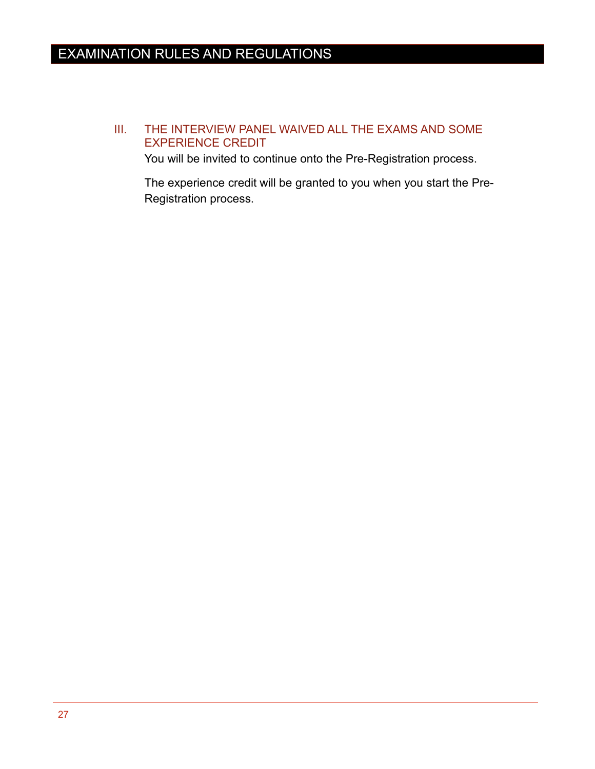## <span id="page-30-0"></span>III. THE INTERVIEW PANEL WAIVED ALL THE EXAMS AND SOME EXPERIENCE CREDIT

You will be invited to continue onto the Pre-Registration process.

The experience credit will be granted to you when you start the Pre-Registration process.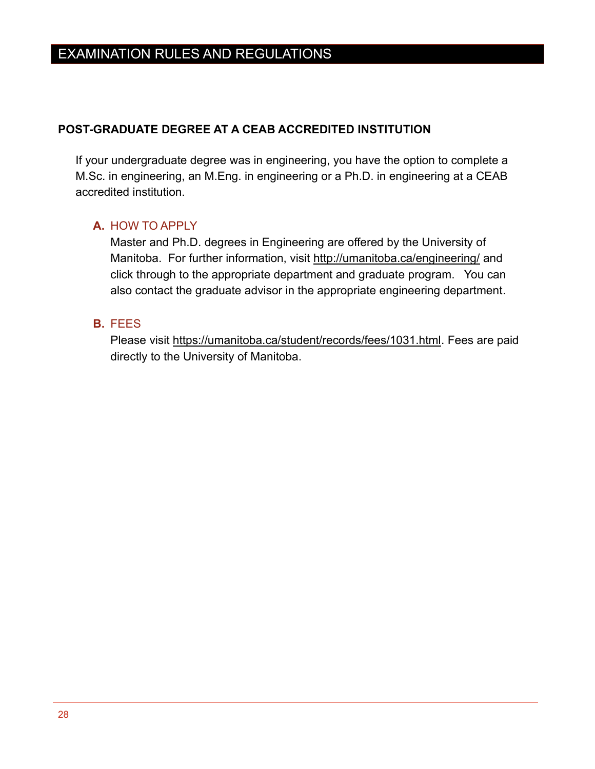## <span id="page-31-0"></span>**POST-GRADUATE DEGREE AT A CEAB ACCREDITED INSTITUTION**

If your undergraduate degree was in engineering, you have the option to complete a M.Sc. in engineering, an M.Eng. in engineering or a Ph.D. in engineering at a CEAB accredited institution.

## <span id="page-31-1"></span>**A.** HOW TO APPLY

Master and Ph.D. degrees in Engineering are offered by the University of Manitoba. For further information, visit<http://umanitoba.ca/engineering/> and click through to the appropriate department and graduate program. You can also contact the graduate advisor in the appropriate engineering department.

#### <span id="page-31-2"></span>**B.** FEES

Please visit [https://umanitoba.ca/student/records/fees/1031.html.](https://umanitoba.ca/student/records/fees/1031.html) Fees are paid directly to the University of Manitoba.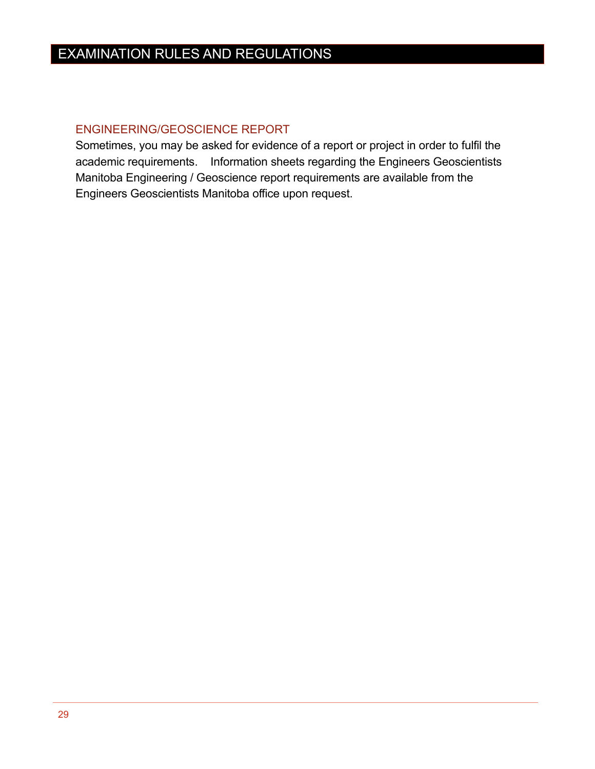## <span id="page-32-0"></span>ENGINEERING/GEOSCIENCE REPORT

Sometimes, you may be asked for evidence of a report or project in order to fulfil the academic requirements. Information sheets regarding the Engineers Geoscientists Manitoba Engineering / Geoscience report requirements are available from the Engineers Geoscientists Manitoba office upon request.